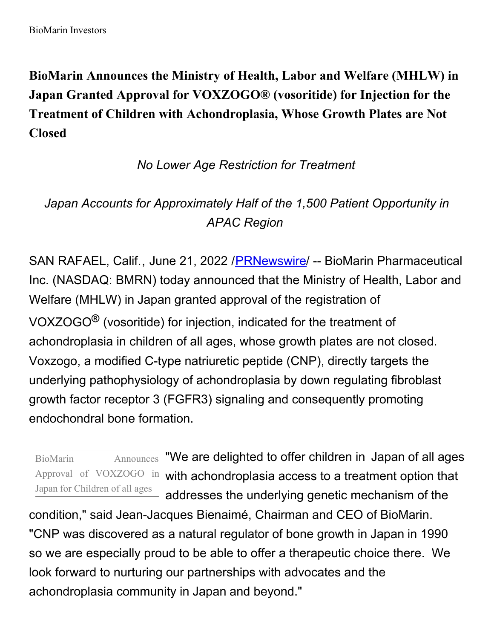**BioMarin Announces the Ministry of Health, Labor and Welfare (MHLW) in Japan Granted Approval for VOXZOGO® (vosoritide) for Injection for the Treatment of Children with Achondroplasia, Whose Growth Plates are Not Closed**

## *No Lower Age Restriction for Treatment*

# *Japan Accounts for Approximately Half of the 1,500 Patient Opportunity in APAC Region*

SAN RAFAEL, Calif., June 21, 2022 / PRNewswire / -- BioMarin Pharmaceutical Inc. (NASDAQ: BMRN) today announced that the Ministry of Health, Labor and Welfare (MHLW) in Japan granted approval of the registration of VOXZOGO**®** (vosoritide) for injection, indicated for the treatment of achondroplasia in children of all ages, whose growth plates are not closed. Voxzogo, a modified C-type natriuretic peptide (CNP), directly targets the underlying pathophysiology of achondroplasia by down regulating fibroblast growth factor receptor 3 (FGFR3) signaling and consequently promoting endochondral bone formation.

Japan for Children of all ages

BioMarin Announces "We are delighted to offer children in Japan of all ages Approval of VOXZOGO in with achondroplasia access to a treatment option that addresses the underlying genetic mechanism of the

condition," said Jean-Jacques Bienaimé, Chairman and CEO of BioMarin. "CNP was discovered as a natural regulator of bone growth in Japan in 1990 so we are especially proud to be able to offer a therapeutic choice there. We look forward to nurturing our partnerships with advocates and the achondroplasia community in Japan and beyond."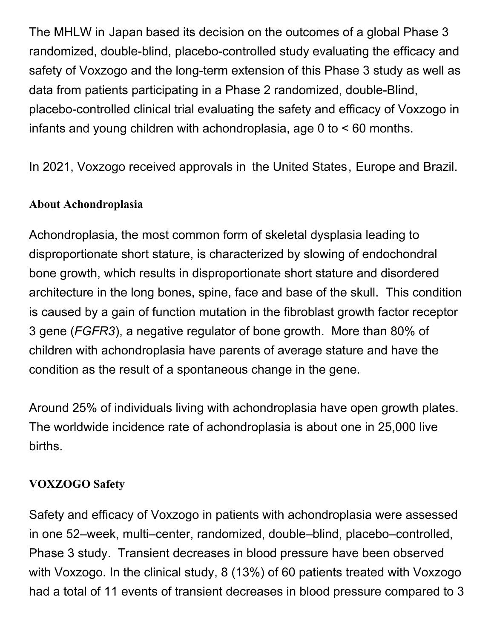The MHLW in Japan based its decision on the outcomes of a global Phase 3 randomized, double-blind, placebo-controlled study evaluating the efficacy and safety of Voxzogo and the long-term extension of this Phase 3 study as well as data from patients participating in a Phase 2 randomized, double-Blind, placebo-controlled clinical trial evaluating the safety and efficacy of Voxzogo in infants and young children with achondroplasia, age 0 to < 60 months.

In 2021, Voxzogo received approvals in the United States, Europe and Brazil.

### **About Achondroplasia**

Achondroplasia, the most common form of skeletal dysplasia leading to disproportionate short stature, is characterized by slowing of endochondral bone growth, which results in disproportionate short stature and disordered architecture in the long bones, spine, face and base of the skull. This condition is caused by a gain of function mutation in the fibroblast growth factor receptor 3 gene (*FGFR3*), a negative regulator of bone growth. More than 80% of children with achondroplasia have parents of average stature and have the condition as the result of a spontaneous change in the gene.

Around 25% of individuals living with achondroplasia have open growth plates. The worldwide incidence rate of achondroplasia is about one in 25,000 live births.

### **VOXZOGO Safety**

Safety and efficacy of Voxzogo in patients with achondroplasia were assessed in one 52–week, multi–center, randomized, double–blind, placebo–controlled, Phase 3 study. Transient decreases in blood pressure have been observed with Voxzogo. In the clinical study, 8 (13%) of 60 patients treated with Voxzogo had a total of 11 events of transient decreases in blood pressure compared to 3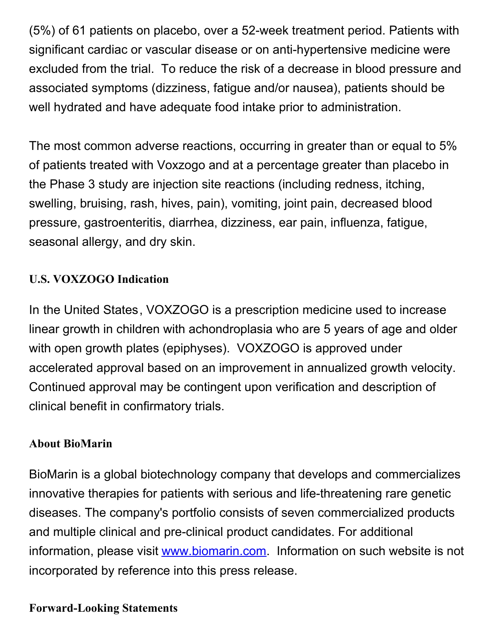(5%) of 61 patients on placebo, over a 52-week treatment period. Patients with significant cardiac or vascular disease or on anti-hypertensive medicine were excluded from the trial. To reduce the risk of a decrease in blood pressure and associated symptoms (dizziness, fatigue and/or nausea), patients should be well hydrated and have adequate food intake prior to administration.

The most common adverse reactions, occurring in greater than or equal to 5% of patients treated with Voxzogo and at a percentage greater than placebo in the Phase 3 study are injection site reactions (including redness, itching, swelling, bruising, rash, hives, pain), vomiting, joint pain, decreased blood pressure, gastroenteritis, diarrhea, dizziness, ear pain, influenza, fatigue, seasonal allergy, and dry skin.

## **U.S. VOXZOGO Indication**

In the United States, VOXZOGO is a prescription medicine used to increase linear growth in children with achondroplasia who are 5 years of age and older with open growth plates (epiphyses). VOXZOGO is approved under accelerated approval based on an improvement in annualized growth velocity. Continued approval may be contingent upon verification and description of clinical benefit in confirmatory trials.

#### **About BioMarin**

BioMarin is a global biotechnology company that develops and commercializes innovative therapies for patients with serious and life-threatening rare genetic diseases. The company's portfolio consists of seven commercialized products and multiple clinical and pre-clinical product candidates. For additional information, please visit [www.biomarin.com](https://c212.net/c/link/?t=0&l=en&o=3573289-1&h=1779723413&u=https%3A%2F%2Fc212.net%2Fc%2Flink%2F%3Ft%3D0%26l%3Den%26o%3D3365718-1%26h%3D1194261284%26u%3Dhttp%253A%252F%252Fwww.biomarin.com%252F%26a%3Dwww.biomarin.com&a=www.biomarin.com). Information on such website is not incorporated by reference into this press release.

#### **Forward-Looking Statements**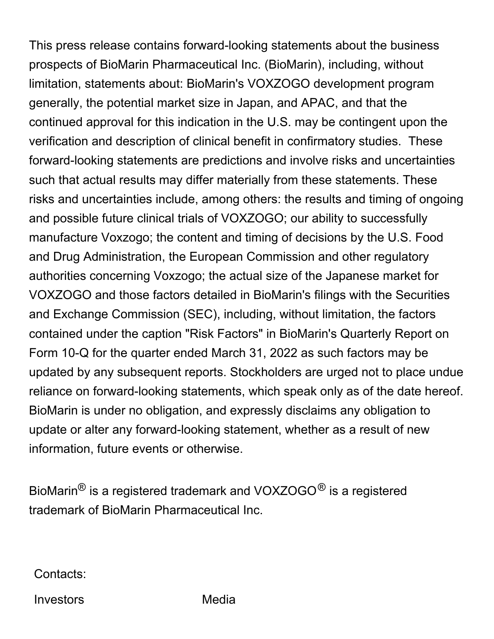This press release contains forward-looking statements about the business prospects of BioMarin Pharmaceutical Inc. (BioMarin), including, without limitation, statements about: BioMarin's VOXZOGO development program generally, the potential market size in Japan, and APAC, and that the continued approval for this indication in the U.S. may be contingent upon the verification and description of clinical benefit in confirmatory studies. These forward-looking statements are predictions and involve risks and uncertainties such that actual results may differ materially from these statements. These risks and uncertainties include, among others: the results and timing of ongoing and possible future clinical trials of VOXZOGO; our ability to successfully manufacture Voxzogo; the content and timing of decisions by the U.S. Food and Drug Administration, the European Commission and other regulatory authorities concerning Voxzogo; the actual size of the Japanese market for VOXZOGO and those factors detailed in BioMarin's filings with the Securities and Exchange Commission (SEC), including, without limitation, the factors contained under the caption "Risk Factors" in BioMarin's Quarterly Report on Form 10-Q for the quarter ended March 31, 2022 as such factors may be updated by any subsequent reports. Stockholders are urged not to place undue reliance on forward-looking statements, which speak only as of the date hereof. BioMarin is under no obligation, and expressly disclaims any obligation to update or alter any forward-looking statement, whether as a result of new information, future events or otherwise.

BioMarin<sup>®</sup> is a registered trademark and VOXZOGO<sup>®</sup> is a registered trademark of BioMarin Pharmaceutical Inc.

Contacts:

Investors Media